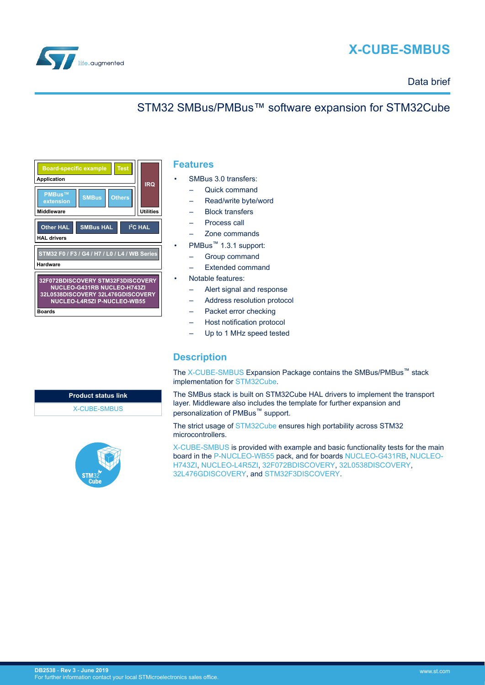

<span id="page-0-0"></span>

## Data brief

# STM32 SMBus/PMBus™ software expansion for STM32Cube



## **Features**

- SMBus 3.0 transfers:
	- Quick command
	- Read/write byte/word
	- Block transfers
	- Process call
	- Zone commands
- PMBus™ 1.3.1 support:
	- Group command
	- Extended command
- Notable features:
	- Alert signal and response
	- Address resolution protocol
	- Packet error checking
	- Host notification protocol
	- Up to 1 MHz speed tested

### **Description**

The [X-CUBE-SMBUS](https://www.st.com/en/product/x-cube-smbus) Expansion Package contains the SMBus/PMBus™ stack implementation for [STM32Cube.](https://www.st.com/stm32cube)

The SMBus stack is built on STM32Cube HAL drivers to implement the transport layer. Middleware also includes the template for further expansion and personalization of PMBus<sup>™</sup> support.

The strict usage of [STM32Cube](https://www.st.com/stm32cube) ensures high portability across STM32 microcontrollers.

[X-CUBE-SMBUS](https://www.st.com/en/product/x-cube-smbus) is provided with example and basic functionality tests for the main board in the [P-NUCLEO-WB55](https://www.st.com/en/product/p-nucleo-wb55) pack, and for boards [NUCLEO-G431RB,](https://www.st.com/en/product/nucleo-g431rb) [NUCLEO-](https://www.st.com/en/product/nucleo-h743zi)[H743ZI](https://www.st.com/en/product/nucleo-h743zi), [NUCLEO-L4R5ZI](https://www.st.com/en/product/nucleo-l4r5zi), [32F072BDISCOVERY,](https://www.st.com/en/product/32f072bdiscovery) [32L0538DISCOVERY](https://www.st.com/en/product/32l0538discovery), [32L476GDISCOVERY](https://www.st.com/en/product/32l476gdiscovery), and [STM32F3DISCOVERY](https://www.st.com/en/product/stm32f3discovery).

**Product status link** [X-CUBE-SMBUS](https://www.st.com/en/product/x-cube-smbus)

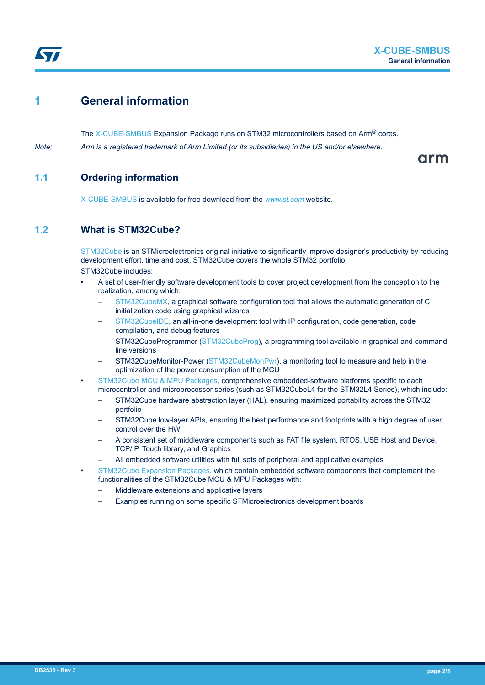<span id="page-1-0"></span>

# **1 General information**

The [X-CUBE-SMBUS](https://www.st.com/en/product/x-cube-smbus) Expansion Package runs on STM32 microcontrollers based on Arm<sup>®</sup> cores.

*Note: Arm is a registered trademark of Arm Limited (or its subsidiaries) in the US and/or elsewhere.*

arm

## **1.1 Ordering information**

[X-CUBE-SMBUS](https://www.st.com/en/product/x-cube-smbus) is available for free download from the *[www.st.com](https://www.st.com)* website.

## **1.2 What is STM32Cube?**

[STM32Cube](https://www.st.com/stm32cube) is an STMicroelectronics original initiative to significantly improve designer's productivity by reducing development effort, time and cost. STM32Cube covers the whole STM32 portfolio. STM32Cube includes:

- A set of user-friendly software development tools to cover project development from the conception to the realization, among which:
	- [STM32CubeMX,](https://www.st.com/en/product/stm32cubemx) a graphical software configuration tool that allows the automatic generation of C initialization code using graphical wizards
	- [STM32CubeIDE](https://www.st.com/en/product/stm32cubeide), an all-in-one development tool with IP configuration, code generation, code compilation, and debug features
	- STM32CubeProgrammer ([STM32CubeProg](https://www.st.com/en/product/stm32cubeprog)), a programming tool available in graphical and commandline versions
	- STM32CubeMonitor-Power [\(STM32CubeMonPwr\)](https://www.st.com/en/product/stm32cubemonpwr), a monitoring tool to measure and help in the optimization of the power consumption of the MCU
- [STM32Cube MCU & MPU Packages](https://www.st.com/en/embedded-software/stm32cube-mcu-mpu-packages.html), comprehensive embedded-software platforms specific to each microcontroller and microprocessor series (such as STM32CubeL4 for the STM32L4 Series), which include:
	- STM32Cube hardware abstraction layer (HAL), ensuring maximized portability across the STM32 portfolio
	- STM32Cube low-layer APIs, ensuring the best performance and footprints with a high degree of user control over the HW
	- A consistent set of middleware components such as FAT file system, RTOS, USB Host and Device, TCP/IP, Touch library, and Graphics
	- All embedded software utilities with full sets of peripheral and applicative examples
- [STM32Cube Expansion Packages,](https://www.st.com/en/embedded-software/stm32cube-expansion-packages.html) which contain embedded software components that complement the functionalities of the STM32Cube MCU & MPU Packages with:
	- Middleware extensions and applicative layers
	- Examples running on some specific STMicroelectronics development boards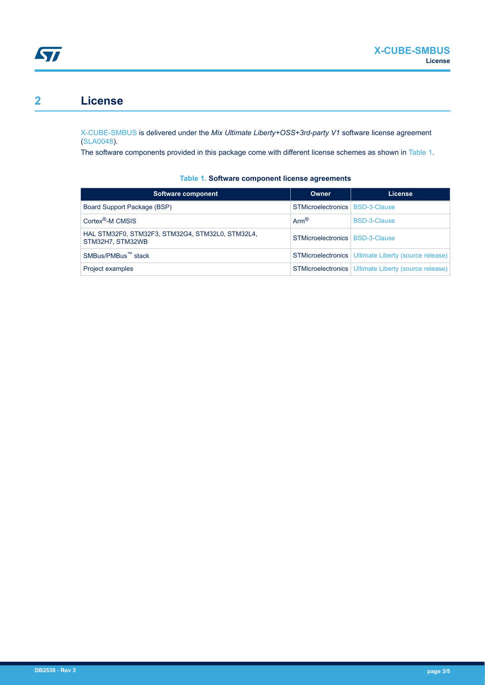<span id="page-2-0"></span>

# **2 License**

[X-CUBE-SMBUS](https://www.st.com/en/product/x-cube-smbus) is delivered under the *Mix Ultimate Liberty+OSS+3rd-party V1* software license agreement [\(SLA0048](https://www.st.com/sla0048)).

The software components provided in this package come with different license schemes as shown in Table 1.

| Software component                                                   | Owner                             | License                                                     |
|----------------------------------------------------------------------|-----------------------------------|-------------------------------------------------------------|
| Board Support Package (BSP)                                          | STMicroelectronics   BSD-3-Clause |                                                             |
| Cortex <sup>®</sup> -M CMSIS                                         | $Arm^{\circledR}$                 | BSD-3-Clause                                                |
| HAL STM32F0, STM32F3, STM32G4, STM32L0, STM32L4,<br>STM32H7, STM32WB | STMicroelectronics   BSD-3-Clause |                                                             |
| SMBus/PMBus <sup>™</sup> stack                                       |                                   | <b>STMicroelectronics</b> Ultimate Liberty (source release) |
| Project examples                                                     |                                   | <b>STMicroelectronics</b> Ultimate Liberty (source release) |

#### **Table 1. Software component license agreements**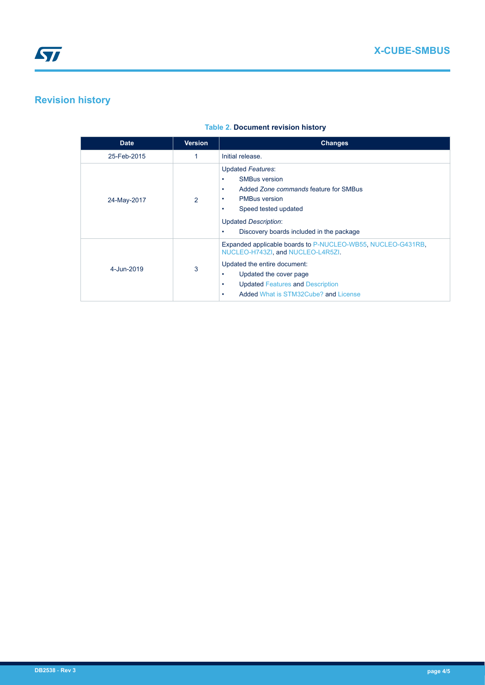# **Revision history**

### **Table 2. Document revision history**

| <b>Date</b>                         | <b>Version</b> | <b>Changes</b>                                                                                                                                                                                                                                |  |
|-------------------------------------|----------------|-----------------------------------------------------------------------------------------------------------------------------------------------------------------------------------------------------------------------------------------------|--|
| 25-Feb-2015                         |                | Initial release.                                                                                                                                                                                                                              |  |
| 24-May-2017                         | $\mathcal{P}$  | Updated Features:<br><b>SMBus version</b><br>Added Zone commands feature for SMBus<br>٠<br><b>PMBus version</b><br>$\bullet$<br>Speed tested updated<br>٠<br><b>Updated Description:</b><br>Discovery boards included in the package          |  |
| $4 - \frac{1}{10} - \frac{2019}{9}$ | 3              | Expanded applicable boards to P-NUCLEO-WB55, NUCLEO-G431RB,<br>NUCLEO-H743ZI, and NUCLEO-L4R5ZI.<br>Updated the entire document:<br>Updated the cover page<br><b>Updated Features and Description</b><br>Added What is STM32Cube? and License |  |